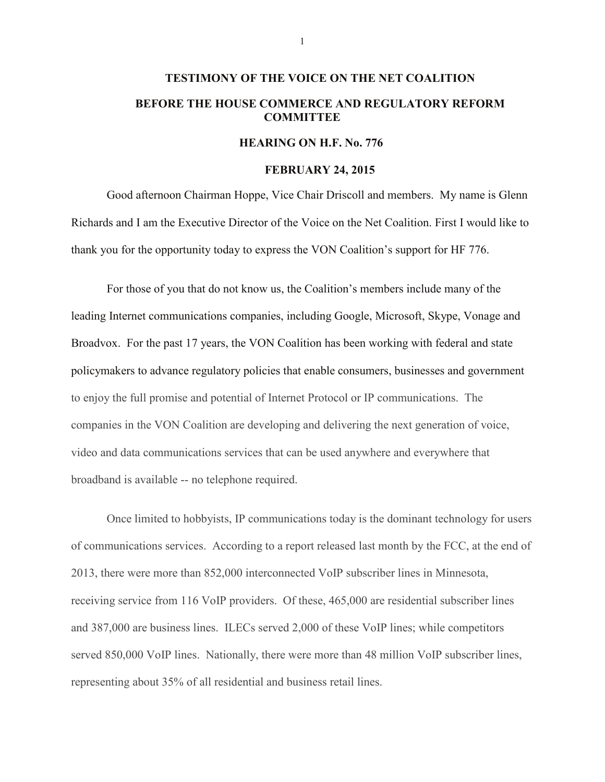## **TESTIMONY OF THE VOICE ON THE NET COALITION BEFORE THE HOUSE COMMERCE AND REGULATORY REFORM COMMITTEE**

## **HEARING ON H.F. No. 776**

## **FEBRUARY 24, 2015**

Good afternoon Chairman Hoppe, Vice Chair Driscoll and members. My name is Glenn Richards and I am the Executive Director of the Voice on the Net Coalition. First I would like to thank you for the opportunity today to express the VON Coalition's support for HF 776.

For those of you that do not know us, the Coalition's members include many of the leading Internet communications companies, including Google, Microsoft, Skype, Vonage and Broadvox. For the past 17 years, the VON Coalition has been working with federal and state policymakers to advance regulatory policies that enable consumers, businesses and government to enjoy the full promise and potential of Internet Protocol or IP communications. The companies in the VON Coalition are developing and delivering the next generation of voice, video and data communications services that can be used anywhere and everywhere that broadband is available -- no telephone required.

Once limited to hobbyists, IP communications today is the dominant technology for users of communications services. According to a report released last month by the FCC, at the end of 2013, there were more than 852,000 interconnected VoIP subscriber lines in Minnesota, receiving service from 116 VoIP providers. Of these, 465,000 are residential subscriber lines and 387,000 are business lines. ILECs served 2,000 of these VoIP lines; while competitors served 850,000 VoIP lines. Nationally, there were more than 48 million VoIP subscriber lines, representing about 35% of all residential and business retail lines.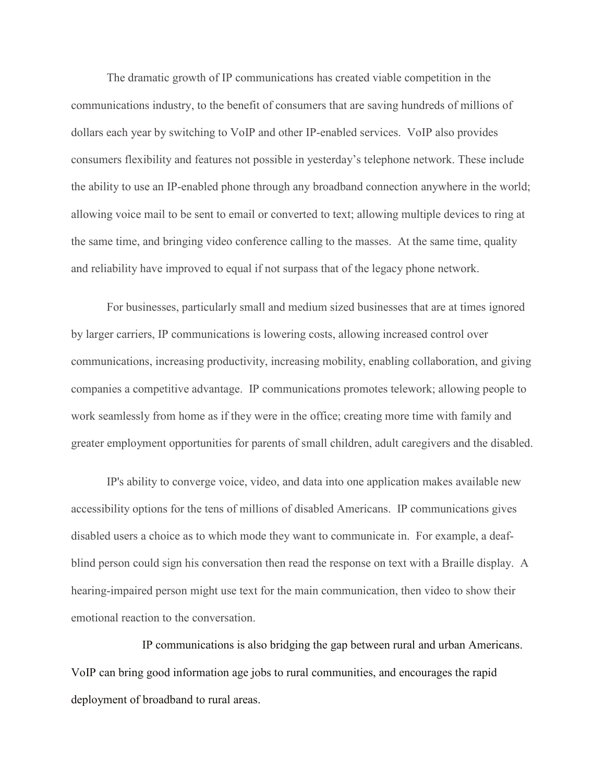The dramatic growth of IP communications has created viable competition in the communications industry, to the benefit of consumers that are saving hundreds of millions of dollars each year by switching to VoIP and other IP-enabled services. VoIP also provides consumers flexibility and features not possible in yesterday's telephone network. These include the ability to use an IP-enabled phone through any broadband connection anywhere in the world; allowing voice mail to be sent to email or converted to text; allowing multiple devices to ring at the same time, and bringing video conference calling to the masses. At the same time, quality and reliability have improved to equal if not surpass that of the legacy phone network.

For businesses, particularly small and medium sized businesses that are at times ignored by larger carriers, IP communications is lowering costs, allowing increased control over communications, increasing productivity, increasing mobility, enabling collaboration, and giving companies a competitive advantage. IP communications promotes telework; allowing people to work seamlessly from home as if they were in the office; creating more time with family and greater employment opportunities for parents of small children, adult caregivers and the disabled.

IP's ability to converge voice, video, and data into one application makes available new accessibility options for the tens of millions of disabled Americans. IP communications gives disabled users a choice as to which mode they want to communicate in. For example, a deafblind person could sign his conversation then read the response on text with a Braille display. A hearing-impaired person might use text for the main communication, then video to show their emotional reaction to the conversation.

IP communications is also bridging the gap between rural and urban Americans. VoIP can bring good information age jobs to rural communities, and encourages the rapid deployment of broadband to rural areas.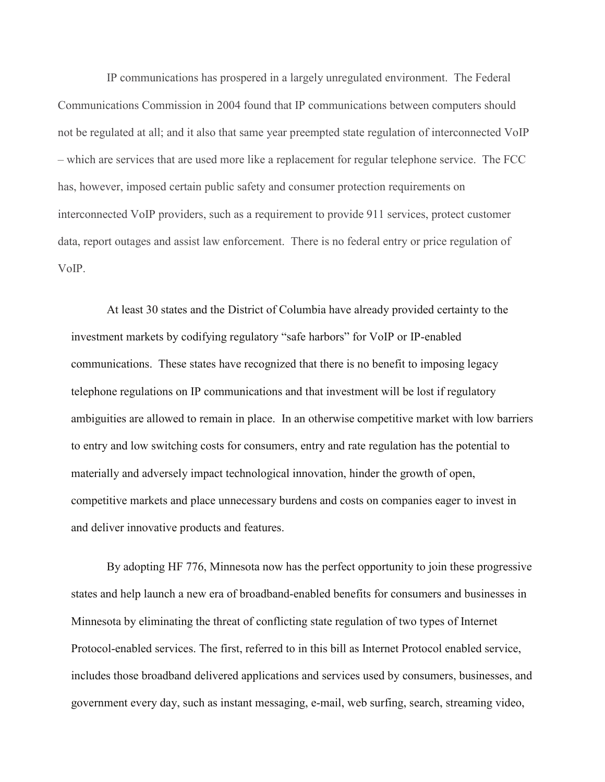IP communications has prospered in a largely unregulated environment. The Federal Communications Commission in 2004 found that IP communications between computers should not be regulated at all; and it also that same year preempted state regulation of interconnected VoIP – which are services that are used more like a replacement for regular telephone service. The FCC has, however, imposed certain public safety and consumer protection requirements on interconnected VoIP providers, such as a requirement to provide 911 services, protect customer data, report outages and assist law enforcement. There is no federal entry or price regulation of VoIP.

At least 30 states and the District of Columbia have already provided certainty to the investment markets by codifying regulatory "safe harbors" for VoIP or IP-enabled communications. These states have recognized that there is no benefit to imposing legacy telephone regulations on IP communications and that investment will be lost if regulatory ambiguities are allowed to remain in place. In an otherwise competitive market with low barriers to entry and low switching costs for consumers, entry and rate regulation has the potential to materially and adversely impact technological innovation, hinder the growth of open, competitive markets and place unnecessary burdens and costs on companies eager to invest in and deliver innovative products and features.

By adopting HF 776, Minnesota now has the perfect opportunity to join these progressive states and help launch a new era of broadband-enabled benefits for consumers and businesses in Minnesota by eliminating the threat of conflicting state regulation of two types of Internet Protocol-enabled services. The first, referred to in this bill as Internet Protocol enabled service, includes those broadband delivered applications and services used by consumers, businesses, and government every day, such as instant messaging, e-mail, web surfing, search, streaming video,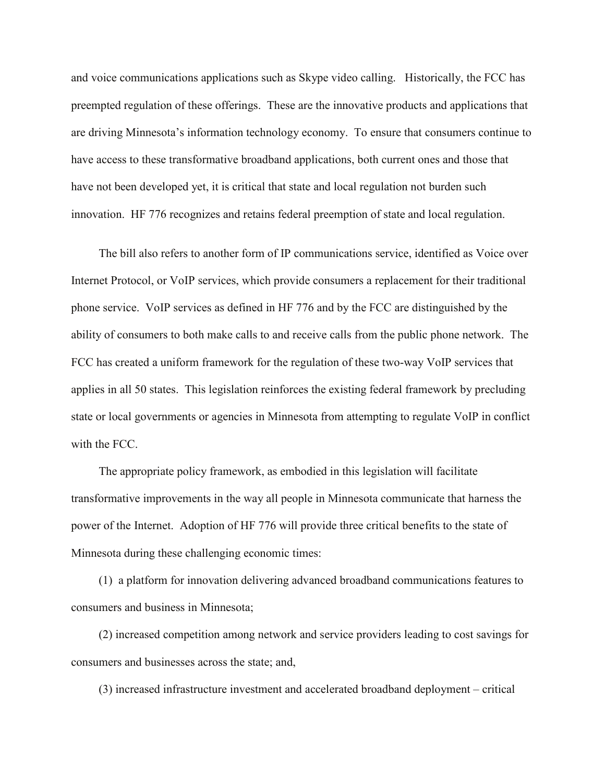and voice communications applications such as Skype video calling. Historically, the FCC has preempted regulation of these offerings. These are the innovative products and applications that are driving Minnesota's information technology economy. To ensure that consumers continue to have access to these transformative broadband applications, both current ones and those that have not been developed yet, it is critical that state and local regulation not burden such innovation. HF 776 recognizes and retains federal preemption of state and local regulation.

The bill also refers to another form of IP communications service, identified as Voice over Internet Protocol, or VoIP services, which provide consumers a replacement for their traditional phone service. VoIP services as defined in HF 776 and by the FCC are distinguished by the ability of consumers to both make calls to and receive calls from the public phone network. The FCC has created a uniform framework for the regulation of these two-way VoIP services that applies in all 50 states. This legislation reinforces the existing federal framework by precluding state or local governments or agencies in Minnesota from attempting to regulate VoIP in conflict with the FCC.

The appropriate policy framework, as embodied in this legislation will facilitate transformative improvements in the way all people in Minnesota communicate that harness the power of the Internet. Adoption of HF 776 will provide three critical benefits to the state of Minnesota during these challenging economic times:

(1) a platform for innovation delivering advanced broadband communications features to consumers and business in Minnesota;

(2) increased competition among network and service providers leading to cost savings for consumers and businesses across the state; and,

(3) increased infrastructure investment and accelerated broadband deployment – critical